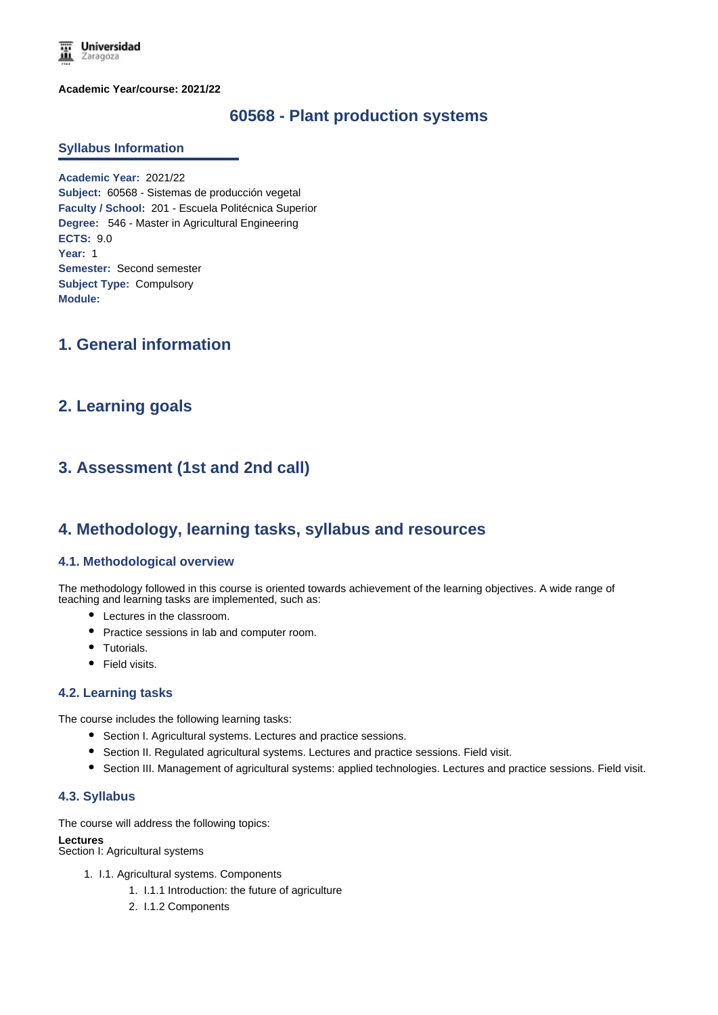

**Academic Year/course: 2021/22**

# **60568 - Plant production systems**

### **Syllabus Information**

**Academic Year:** 2021/22 **Subject:** 60568 - Sistemas de producción vegetal **Faculty / School:** 201 - Escuela Politécnica Superior **Degree:** 546 - Master in Agricultural Engineering **ECTS:** 9.0 **Year:** 1 **Semester:** Second semester **Subject Type:** Compulsory **Module:**

# **1. General information**

## **2. Learning goals**

# **3. Assessment (1st and 2nd call)**

## **4. Methodology, learning tasks, syllabus and resources**

## **4.1. Methodological overview**

The methodology followed in this course is oriented towards achievement of the learning objectives. A wide range of teaching and learning tasks are implemented, such as:

- Lectures in the classroom.
- Practice sessions in lab and computer room.
- Tutorials.
- Field visits.

#### **4.2. Learning tasks**

The course includes the following learning tasks:

- Section I. Agricultural systems. Lectures and practice sessions.
- **Section II. Regulated agricultural systems. Lectures and practice sessions. Field visit.**
- Section III. Management of agricultural systems: applied technologies. Lectures and practice sessions. Field visit.

## **4.3. Syllabus**

The course will address the following topics:

#### **Lectures**

Section I: Agricultural systems

- 1. I.1. Agricultural systems. Components
	- 1. I.1.1 Introduction: the future of agriculture
	- 2. I.1.2 Components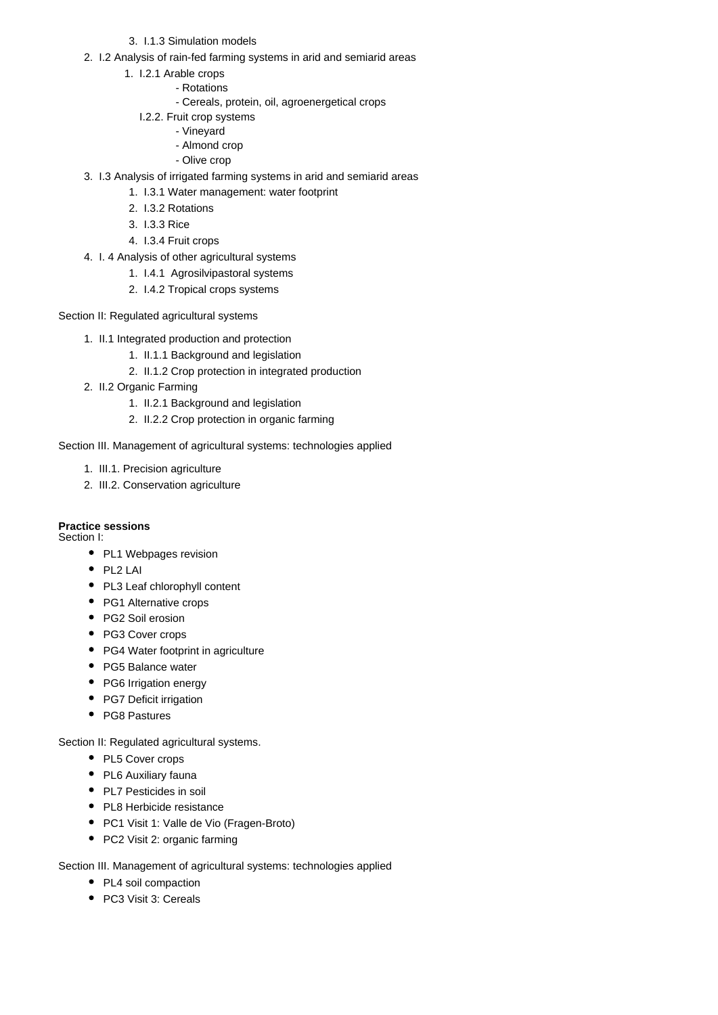## 3. I.1.3 Simulation models

- 2. I.2 Analysis of rain-fed farming systems in arid and semiarid areas
	- 1. I.2.1 Arable crops
		- Rotations
		- Cereals, protein, oil, agroenergetical crops
		- I.2.2. Fruit crop systems
			- Vineyard
			- Almond crop
			- Olive crop
- 3. I.3 Analysis of irrigated farming systems in arid and semiarid areas
	- 1. I.3.1 Water management: water footprint
	- 2. I.3.2 Rotations
	- 3. I.3.3 Rice
	- 4. I.3.4 Fruit crops
- 4. I. 4 Analysis of other agricultural systems
	- 1. I.4.1 Agrosilvipastoral systems
	- 2. I.4.2 Tropical crops systems

Section II: Regulated agricultural systems

- 1. II.1 Integrated production and protection
	- 1. II.1.1 Background and legislation
	- 2. II.1.2 Crop protection in integrated production
- 2. II.2 Organic Farming
	- 1. II.2.1 Background and legislation
	- 2. II.2.2 Crop protection in organic farming

Section III. Management of agricultural systems: technologies applied

- 1. III.1. Precision agriculture
- 2. III.2. Conservation agriculture

## **Practice sessions**

Section I:

- PL1 Webpages revision
- $\bullet$  PL2 LAI
- PL3 Leaf chlorophyll content
- PG1 Alternative crops
- PG2 Soil erosion
- PG3 Cover crops
- PG4 Water footprint in agriculture
- PG5 Balance water
- PG6 Irrigation energy
- PG7 Deficit irrigation
- PG8 Pastures

Section II: Regulated agricultural systems.

- PL5 Cover crops
- PL6 Auxiliary fauna
- PL7 Pesticides in soil
- PL8 Herbicide resistance
- PC1 Visit 1: Valle de Vio (Fragen-Broto)
- PC2 Visit 2: organic farming

Section III. Management of agricultural systems: technologies applied

- PL4 soil compaction
- PC3 Visit 3: Cereals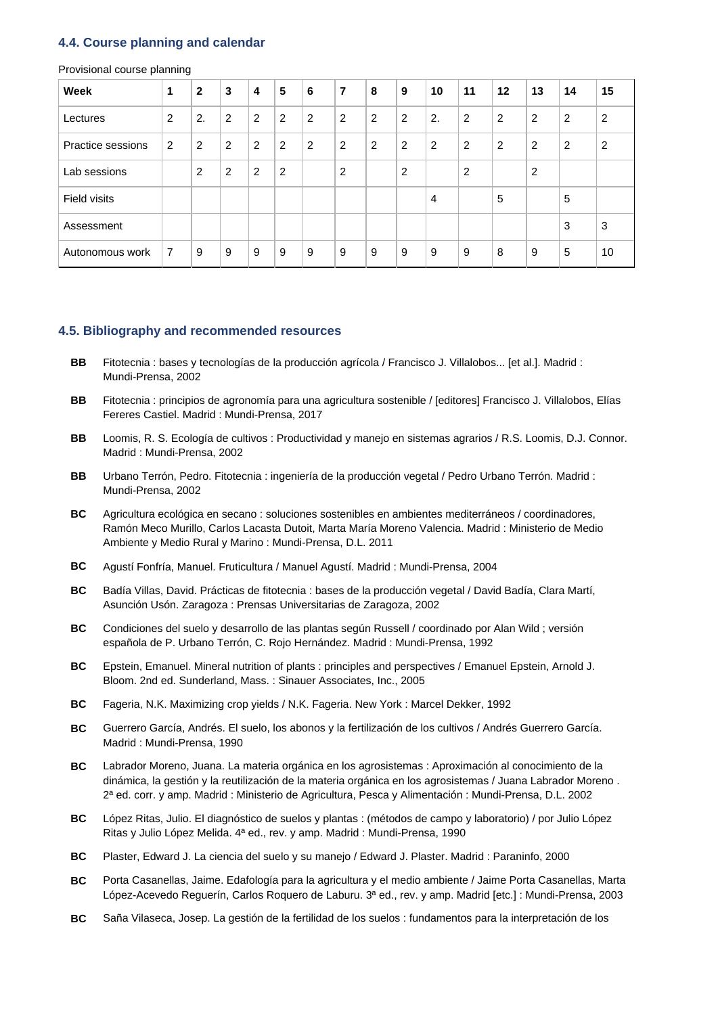## **4.4. Course planning and calendar**

| <b>Week</b>       | 1              | $\mathbf{2}$ | 3 | 4 | 5              | 6 | $\overline{7}$ | 8              | 9 | 10             | 11             | 12 | 13 | 14             | 15             |
|-------------------|----------------|--------------|---|---|----------------|---|----------------|----------------|---|----------------|----------------|----|----|----------------|----------------|
| Lectures          | $\overline{2}$ | 2.           | 2 | 2 | 2              | 2 | 2              | 2              | 2 | 2.             | 2              | 2  | 2  | 2              | $\overline{2}$ |
| Practice sessions | 2              | 2            | 2 | 2 | $\overline{2}$ | 2 | 2              | $\overline{2}$ | 2 | 2              | 2              | 2  | 2  | $\overline{2}$ | 2              |
| Lab sessions      |                | 2            | 2 | 2 | 2              |   | 2              |                | 2 |                | $\overline{2}$ |    | 2  |                |                |
| Field visits      |                |              |   |   |                |   |                |                |   | $\overline{4}$ |                | 5  |    | 5              |                |
| Assessment        |                |              |   |   |                |   |                |                |   |                |                |    |    | 3              | 3              |
| Autonomous work   | 7              | 9            | 9 | 9 | 9              | 9 | 9              | 9              | 9 | 9              | 9              | 8  | 9  | 5              | 10             |

Provisional course planning

## **4.5. Bibliography and recommended resources**

- **BB** Fitotecnia : bases y tecnologías de la producción agrícola / Francisco J. Villalobos... [et al.]. Madrid : Mundi-Prensa, 2002
- **BB** Fitotecnia : principios de agronomía para una agricultura sostenible / [editores] Francisco J. Villalobos, Elías Fereres Castiel. Madrid : Mundi-Prensa, 2017
- **BB** Loomis, R. S. Ecología de cultivos : Productividad y manejo en sistemas agrarios / R.S. Loomis, D.J. Connor. Madrid : Mundi-Prensa, 2002
- **BB** Urbano Terrón, Pedro. Fitotecnia : ingeniería de la producción vegetal / Pedro Urbano Terrón. Madrid : Mundi-Prensa, 2002
- **BC** Agricultura ecológica en secano : soluciones sostenibles en ambientes mediterráneos / coordinadores, Ramón Meco Murillo, Carlos Lacasta Dutoit, Marta María Moreno Valencia. Madrid : Ministerio de Medio Ambiente y Medio Rural y Marino : Mundi-Prensa, D.L. 2011
- **BC** Agustí Fonfría, Manuel. Fruticultura / Manuel Agustí. Madrid : Mundi-Prensa, 2004
- **BC** Badía Villas, David. Prácticas de fitotecnia : bases de la producción vegetal / David Badía, Clara Martí, Asunción Usón. Zaragoza : Prensas Universitarias de Zaragoza, 2002
- **BC** Condiciones del suelo y desarrollo de las plantas según Russell / coordinado por Alan Wild ; versión española de P. Urbano Terrón, C. Rojo Hernández. Madrid : Mundi-Prensa, 1992
- **BC** Epstein, Emanuel. Mineral nutrition of plants : principles and perspectives / Emanuel Epstein, Arnold J. Bloom. 2nd ed. Sunderland, Mass. : Sinauer Associates, Inc., 2005
- **BC** Fageria, N.K. Maximizing crop yields / N.K. Fageria. New York : Marcel Dekker, 1992
- **BC** Guerrero García, Andrés. El suelo, los abonos y la fertilización de los cultivos / Andrés Guerrero García. Madrid : Mundi-Prensa, 1990
- **BC** Labrador Moreno, Juana. La materia orgánica en los agrosistemas : Aproximación al conocimiento de la dinámica, la gestión y la reutilización de la materia orgánica en los agrosistemas / Juana Labrador Moreno . 2ª ed. corr. y amp. Madrid : Ministerio de Agricultura, Pesca y Alimentación : Mundi-Prensa, D.L. 2002
- **BC** López Ritas, Julio. El diagnóstico de suelos y plantas : (métodos de campo y laboratorio) / por Julio López Ritas y Julio López Melida. 4ª ed., rev. y amp. Madrid : Mundi-Prensa, 1990
- **BC** Plaster, Edward J. La ciencia del suelo y su manejo / Edward J. Plaster. Madrid : Paraninfo, 2000
- **BC** Porta Casanellas, Jaime. Edafología para la agricultura y el medio ambiente / Jaime Porta Casanellas, Marta López-Acevedo Reguerín, Carlos Roquero de Laburu. 3ª ed., rev. y amp. Madrid [etc.] : Mundi-Prensa, 2003
- **BC** Saña Vilaseca, Josep. La gestión de la fertilidad de los suelos : fundamentos para la interpretación de los